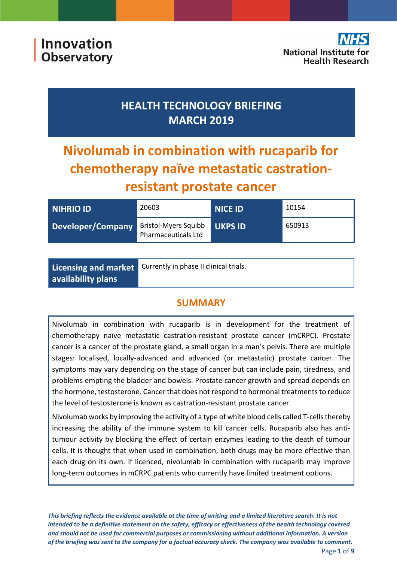Innovation **Observatory** 

## **HEALTH TECHNOLOGY BRIEFING MARCH 2019**

# **Nivolumab in combination with rucaparib for chemotherapy naïve metastatic castrationresistant prostate cancer**

| <b>NIHRIO ID</b>  | 20603                                              | <b>NICE ID</b> | 10154  |
|-------------------|----------------------------------------------------|----------------|--------|
| Developer/Company | <b>Bristol-Myers Squibb</b><br>Pharmaceuticals Ltd | <b>UKPS ID</b> | 650913 |

|                    | Licensing and market Currently in phase II clinical trials. |
|--------------------|-------------------------------------------------------------|
| availability plans |                                                             |

## **SUMMARY**

Nivolumab in combination with rucaparib is in development for the treatment of chemotherapy naïve metastatic castration-resistant prostate cancer (mCRPC). Prostate cancer is a cancer of the prostate gland, a small organ in a man's pelvis. There are multiple stages: localised, locally-advanced and advanced (or metastatic) prostate cancer. The symptoms may vary depending on the stage of cancer but can include pain, tiredness, and problems empting the bladder and bowels. Prostate cancer growth and spread depends on the hormone, testosterone. Cancer that does not respond to hormonal treatments to reduce the level of testosterone is known as castration-resistant prostate cancer.

Nivolumab works by improving the activity of a type of white blood cells called T-cells thereby increasing the ability of the immune system to kill cancer cells. Rucaparib also has antitumour activity by blocking the effect of certain enzymes leading to the death of tumour cells. It is thought that when used in combination, both drugs may be more effective than each drug on its own. If licenced, nivolumab in combination with rucaparib may improve long-term outcomes in mCRPC patients who currently have limited treatment options.

*This briefing reflects the evidence available at the time of writing and a limited literature search. It is not intended to be a definitive statement on the safety, efficacy or effectiveness of the health technology covered and should not be used for commercial purposes or commissioning without additional information. A version of the briefing was sent to the company for a factual accuracy check. The company was available to comment.*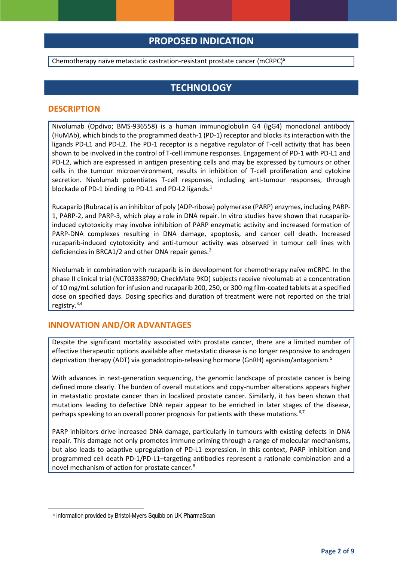## **PROPOSED INDICATION**

Chemotherapy naïve metastatic castration-resistant prostate cancer (mCRPC)<sup>a</sup>

### **TECHNOLOGY**

#### **DESCRIPTION**

Nivolumab (Opdivo; BMS-936558) is a human immunoglobulin G4 (IgG4) monoclonal antibody (HuMAb), which binds to the programmed death-1 (PD-1) receptor and blocks its interaction with the ligands PD-L1 and PD-L2. The PD-1 receptor is a negative regulator of T-cell activity that has been shown to be involved in the control of T-cell immune responses. Engagement of PD-1 with PD-L1 and PD-L2, which are expressed in antigen presenting cells and may be expressed by tumours or other cells in the tumour microenvironment, results in inhibition of T-cell proliferation and cytokine secretion. Nivolumab potentiates T-cell responses, including anti-tumour responses, through blockade of PD-1 binding to PD-L1 and PD-L2 ligands.<sup>1</sup>

Rucaparib (Rubraca) is an inhibitor of poly (ADP-ribose) polymerase (PARP) enzymes, including PARP-1, PARP-2, and PARP-3, which play a role in DNA repair. In vitro studies have shown that rucaparibinduced cytotoxicity may involve inhibition of PARP enzymatic activity and increased formation of PARP-DNA complexes resulting in DNA damage, apoptosis, and cancer cell death. Increased rucaparib-induced cytotoxicity and anti-tumour activity was observed in tumour cell lines with deficiencies in BRCA1/2 and other DNA repair genes.<sup>2</sup>

Nivolumab in combination with rucaparib is in development for chemotherapy naïve mCRPC. In the phase II clinical trial (NCT03338790; CheckMate 9KD) subjects receive nivolumab at a concentration of 10 mg/mL solution for infusion and rucaparib 200, 250, or 300 mg film-coated tablets at a specified dose on specified days. Dosing specifics and duration of treatment were not reported on the trial registry.3,4

#### **INNOVATION AND/OR ADVANTAGES**

Despite the significant mortality associated with prostate cancer, there are a limited number of effective therapeutic options available after metastatic disease is no longer responsive to androgen deprivation therapy (ADT) via gonadotropin-releasing hormone (GnRH) agonism/antagonism.<sup>5</sup>

With advances in next-generation sequencing, the genomic landscape of prostate cancer is being defined more clearly. The burden of overall mutations and copy-number alterations appears higher in metastatic prostate cancer than in localized prostate cancer. Similarly, it has been shown that mutations leading to defective DNA repair appear to be enriched in later stages of the disease, perhaps speaking to an overall poorer prognosis for patients with these mutations.<sup>6,7</sup>

PARP inhibitors drive increased DNA damage, particularly in tumours with existing defects in DNA repair. This damage not only promotes immune priming through a range of molecular mechanisms, but also leads to adaptive upregulation of PD-L1 expression. In this context, PARP inhibition and programmed cell death PD-1/PD-L1–targeting antibodies represent a rationale combination and a novel mechanism of action for prostate cancer.<sup>8</sup>

**.** 

a Information provided by Bristol-Myers Squibb on UK PharmaScan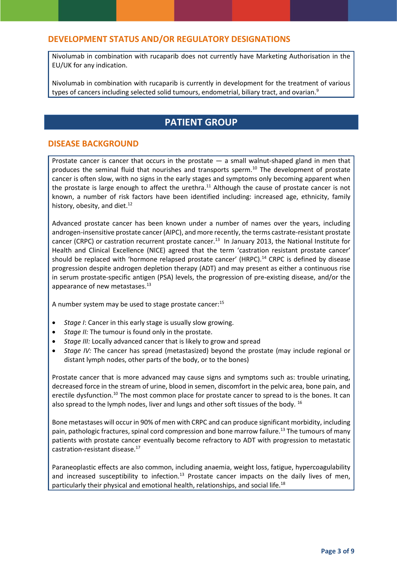#### **DEVELOPMENT STATUS AND/OR REGULATORY DESIGNATIONS**

Nivolumab in combination with rucaparib does not currently have Marketing Authorisation in the EU/UK for any indication.

Nivolumab in combination with rucaparib is currently in development for the treatment of various types of cancers including selected solid tumours, endometrial, biliary tract, and ovarian.<sup>9</sup>

## **PATIENT GROUP**

#### **DISEASE BACKGROUND**

Prostate cancer is cancer that occurs in the prostate  $-$  a small walnut-shaped gland in men that produces the seminal fluid that nourishes and transports sperm. <sup>10</sup> The development of prostate cancer is often slow, with no signs in the early stages and symptoms only becoming apparent when the prostate is large enough to affect the urethra.<sup>11</sup> Although the cause of prostate cancer is not known, a number of risk factors have been identified including: increased age, ethnicity, family history, obesity, and diet.<sup>12</sup>

Advanced prostate cancer has been known under a number of names over the years, including androgen-insensitive prostate cancer (AIPC), and more recently, the terms castrate-resistant prostate cancer (CRPC) or castration recurrent prostate cancer.<sup>13</sup> In January 2013, the National Institute for Health and Clinical Excellence (NICE) agreed that the term 'castration resistant prostate cancer' should be replaced with 'hormone relapsed prostate cancer' (HRPC).<sup>14</sup> CRPC is defined by disease progression despite androgen depletion therapy (ADT) and may present as either a continuous rise in serum prostate-specific antigen (PSA) levels, the progression of pre-existing disease, and/or the appearance of new metastases.<sup>13</sup>

A number system may be used to stage prostate cancer:<sup>15</sup>

- *Stage I*: Cancer in this early stage is usually slow growing.
- *Stage II:* The tumour is found only in the prostate.
- *Stage III:* Locally advanced cancer that is likely to grow and spread
- *Stage IV:* The cancer has spread (metastasized) beyond the prostate (may include regional or distant lymph nodes, other parts of the body, or to the bones)

Prostate cancer that is more advanced may cause signs and symptoms such as: trouble urinating, decreased force in the stream of urine, blood in semen, discomfort in the pelvic area, bone pain, and erectile dysfunction.<sup>10</sup> The most common place for prostate cancer to spread to is the bones. It can also spread to the lymph nodes, liver and lungs and other soft tissues of the body. <sup>16</sup>

Bone metastases will occur in 90% of men with CRPC and can produce significant morbidity, including pain, pathologic fractures, spinal cord compression and bone marrow failure.<sup>13</sup> The tumours of many patients with prostate cancer eventually become refractory to ADT with progression to metastatic castration-resistant disease.<sup>17</sup>

Paraneoplastic effects are also common, including anaemia, weight loss, fatigue, hypercoagulability and increased susceptibility to infection.<sup>13</sup> Prostate cancer impacts on the daily lives of men, particularly their physical and emotional health, relationships, and social life.<sup>18</sup>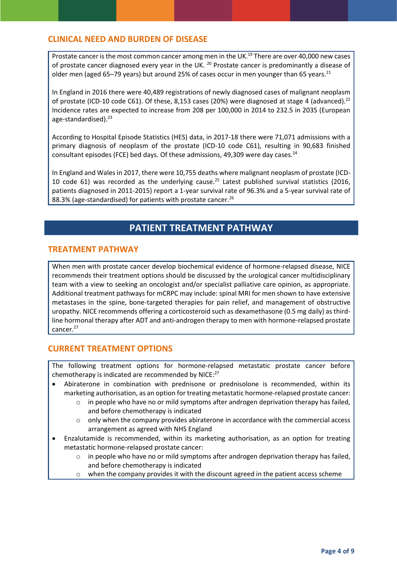#### **CLINICAL NEED AND BURDEN OF DISEASE**

Prostate cancer is the most common cancer among men in the UK.<sup>19</sup> There are over 40,000 new cases of prostate cancer diagnosed every year in the UK. <sup>20</sup> Prostate cancer is predominantly a disease of older men (aged 65-79 years) but around 25% of cases occur in men younger than 65 years.<sup>21</sup>

In England in 2016 there were 40,489 registrations of newly diagnosed cases of malignant neoplasm of prostate (ICD-10 code C61). Of these, 8,153 cases (20%) were diagnosed at stage 4 (advanced).<sup>22</sup> Incidence rates are expected to increase from 208 per 100,000 in 2014 to 232.5 in 2035 (European age-standardised).<sup>23</sup>

According to Hospital Episode Statistics (HES) data, in 2017-18 there were 71,071 admissions with a primary diagnosis of neoplasm of the prostate (ICD-10 code C61), resulting in 90,683 finished consultant episodes (FCE) bed days. Of these admissions, 49,309 were day cases.<sup>24</sup>

In England and Wales in 2017, there were 10,755 deaths where malignant neoplasm of prostate (ICD-10 code 61) was recorded as the underlying cause.<sup>25</sup> Latest published survival statistics (2016, patients diagnosed in 2011-2015) report a 1-year survival rate of 96.3% and a 5-year survival rate of 88.3% (age-standardised) for patients with prostate cancer.<sup>26</sup>

### **PATIENT TREATMENT PATHWAY**

#### **TREATMENT PATHWAY**

When men with prostate cancer develop biochemical evidence of hormone-relapsed disease, NICE recommends their treatment options should be discussed by the urological cancer multidisciplinary team with a view to seeking an oncologist and/or specialist palliative care opinion, as appropriate. Additional treatment pathways for mCRPC may include: spinal MRI for men shown to have extensive metastases in the spine, bone-targeted therapies for pain relief, and management of obstructive uropathy. NICE recommends offering a corticosteroid such as dexamethasone (0.5 mg daily) as thirdline hormonal therapy after ADT and anti-androgen therapy to men with hormone-relapsed prostate cancer.<sup>27</sup>

#### **CURRENT TREATMENT OPTIONS**

The following treatment options for hormone-relapsed metastatic prostate cancer before chemotherapy is indicated are recommended by NICE:<sup>27</sup>

- Abiraterone in combination with prednisone or prednisolone is recommended, within its marketing authorisation, as an option for treating metastatic hormone-relapsed prostate cancer:
	- $\circ$  in people who have no or mild symptoms after androgen deprivation therapy has failed, and before chemotherapy is indicated
	- $\circ$  only when the company provides abiraterone in accordance with the commercial access arrangement as agreed with NHS England
- Enzalutamide is recommended, within its marketing authorisation, as an option for treating metastatic hormone-relapsed prostate cancer:
	- in people who have no or mild symptoms after androgen deprivation therapy has failed, and before chemotherapy is indicated
	- $\circ$  when the company provides it with the discount agreed in the patient access scheme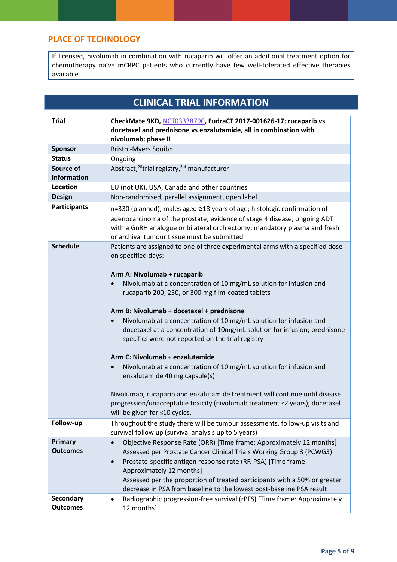#### **PLACE OF TECHNOLOGY**

If licensed, nivolumab in combination with rucaparib will offer an additional treatment option for chemotherapy naïve mCRPC patients who currently have few well-tolerated effective therapies available.

## **CLINICAL TRIAL INFORMATION**

| <b>Trial</b>                        | CheckMate 9KD, NCT03338790, EudraCT 2017-001626-17; rucaparib vs<br>docetaxel and prednisone vs enzalutamide, all in combination with<br>nivolumab; phase II                                                                                                                                                                                                                                                                                                                                                                                                                                                                                                                                                                                                                                                                                                                           |
|-------------------------------------|----------------------------------------------------------------------------------------------------------------------------------------------------------------------------------------------------------------------------------------------------------------------------------------------------------------------------------------------------------------------------------------------------------------------------------------------------------------------------------------------------------------------------------------------------------------------------------------------------------------------------------------------------------------------------------------------------------------------------------------------------------------------------------------------------------------------------------------------------------------------------------------|
| <b>Sponsor</b>                      | <b>Bristol-Myers Squibb</b>                                                                                                                                                                                                                                                                                                                                                                                                                                                                                                                                                                                                                                                                                                                                                                                                                                                            |
| <b>Status</b>                       | Ongoing                                                                                                                                                                                                                                                                                                                                                                                                                                                                                                                                                                                                                                                                                                                                                                                                                                                                                |
| Source of<br><b>Information</b>     | Abstract, <sup>28</sup> trial registry, <sup>3,4</sup> manufacturer                                                                                                                                                                                                                                                                                                                                                                                                                                                                                                                                                                                                                                                                                                                                                                                                                    |
| <b>Location</b>                     | EU (not UK), USA, Canada and other countries                                                                                                                                                                                                                                                                                                                                                                                                                                                                                                                                                                                                                                                                                                                                                                                                                                           |
| <b>Design</b>                       | Non-randomised, parallel assignment, open label                                                                                                                                                                                                                                                                                                                                                                                                                                                                                                                                                                                                                                                                                                                                                                                                                                        |
| <b>Participants</b>                 | n=330 (planned); males aged ≥18 years of age; histologic confirmation of<br>adenocarcinoma of the prostate; evidence of stage 4 disease; ongoing ADT<br>with a GnRH analogue or bilateral orchiectomy; mandatory plasma and fresh<br>or archival tumour tissue must be submitted                                                                                                                                                                                                                                                                                                                                                                                                                                                                                                                                                                                                       |
| <b>Schedule</b>                     | Patients are assigned to one of three experimental arms with a specified dose<br>on specified days:<br>Arm A: Nivolumab + rucaparib<br>Nivolumab at a concentration of 10 mg/mL solution for infusion and<br>$\bullet$<br>rucaparib 200, 250, or 300 mg film-coated tablets<br>Arm B: Nivolumab + docetaxel + prednisone<br>Nivolumab at a concentration of 10 mg/mL solution for infusion and<br>docetaxel at a concentration of 10mg/mL solution for infusion; prednisone<br>specifics were not reported on the trial registry<br>Arm C: Nivolumab + enzalutamide<br>Nivolumab at a concentration of 10 mg/mL solution for infusion and<br>$\bullet$<br>enzalutamide 40 mg capsule(s)<br>Nivolumab, rucaparib and enzalutamide treatment will continue until disease<br>progression/unacceptable toxicity (nivolumab treatment ≤2 years); docetaxel<br>will be given for ≤10 cycles. |
| Follow-up                           | Throughout the study there will be tumour assessments, follow-up visits and<br>survival follow up (survival analysis up to 5 years)                                                                                                                                                                                                                                                                                                                                                                                                                                                                                                                                                                                                                                                                                                                                                    |
| Primary<br><b>Outcomes</b>          | Objective Response Rate (ORR) [Time frame: Approximately 12 months]<br>$\bullet$<br>Assessed per Prostate Cancer Clinical Trials Working Group 3 (PCWG3)<br>Prostate-specific antigen response rate (RR-PSA) [Time frame:<br>$\bullet$<br>Approximately 12 months]<br>Assessed per the proportion of treated participants with a 50% or greater<br>decrease in PSA from baseline to the lowest post-baseline PSA result                                                                                                                                                                                                                                                                                                                                                                                                                                                                |
| <b>Secondary</b><br><b>Outcomes</b> | Radiographic progression-free survival (rPFS) [Time frame: Approximately<br>$\bullet$<br>12 months]                                                                                                                                                                                                                                                                                                                                                                                                                                                                                                                                                                                                                                                                                                                                                                                    |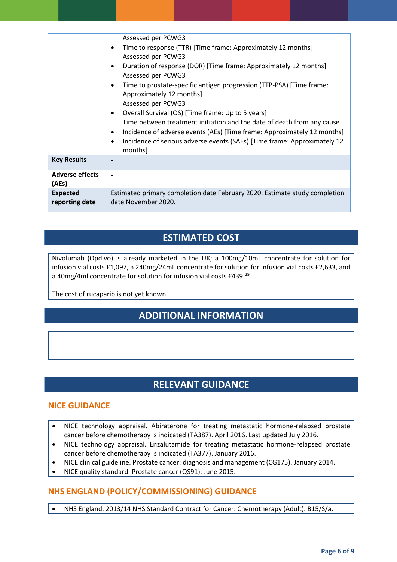|                                   | Assessed per PCWG3<br>Time to response (TTR) [Time frame: Approximately 12 months]<br>$\bullet$<br>Assessed per PCWG3<br>Duration of response (DOR) [Time frame: Approximately 12 months]<br>Assessed per PCWG3<br>Time to prostate-specific antigen progression (TTP-PSA) [Time frame:<br>$\bullet$<br>Approximately 12 months]<br>Assessed per PCWG3<br>Overall Survival (OS) [Time frame: Up to 5 years]<br>$\bullet$<br>Time between treatment initiation and the date of death from any cause<br>Incidence of adverse events (AEs) [Time frame: Approximately 12 months]<br>$\bullet$<br>Incidence of serious adverse events (SAEs) [Time frame: Approximately 12<br>$\bullet$<br>months] |
|-----------------------------------|------------------------------------------------------------------------------------------------------------------------------------------------------------------------------------------------------------------------------------------------------------------------------------------------------------------------------------------------------------------------------------------------------------------------------------------------------------------------------------------------------------------------------------------------------------------------------------------------------------------------------------------------------------------------------------------------|
| <b>Key Results</b>                |                                                                                                                                                                                                                                                                                                                                                                                                                                                                                                                                                                                                                                                                                                |
| <b>Adverse effects</b><br>(AEs)   |                                                                                                                                                                                                                                                                                                                                                                                                                                                                                                                                                                                                                                                                                                |
| <b>Expected</b><br>reporting date | Estimated primary completion date February 2020. Estimate study completion<br>date November 2020.                                                                                                                                                                                                                                                                                                                                                                                                                                                                                                                                                                                              |

## **ESTIMATED COST**

Nivolumab (Opdivo) is already marketed in the UK; a 100mg/10mL concentrate for solution for infusion vial costs £1,097, a 240mg/24mL concentrate for solution for infusion vial costs £2,633, and a 40mg/4ml concentrate for solution for infusion vial costs £439.<sup>29</sup>

The cost of rucaparib is not yet known.

## **ADDITIONAL INFORMATION**

## **RELEVANT GUIDANCE**

#### **NICE GUIDANCE**

- NICE technology appraisal. Abiraterone for treating metastatic hormone-relapsed prostate cancer before chemotherapy is indicated (TA387). April 2016. Last updated July 2016.
- NICE technology appraisal. Enzalutamide for treating metastatic hormone-relapsed prostate cancer before chemotherapy is indicated (TA377). January 2016.
- NICE clinical guideline. Prostate cancer: diagnosis and management (CG175). January 2014.
- NICE quality standard. Prostate cancer (QS91). June 2015.

### **NHS ENGLAND (POLICY/COMMISSIONING) GUIDANCE**

NHS England. 2013/14 NHS Standard Contract for Cancer: Chemotherapy (Adult). B15/S/a.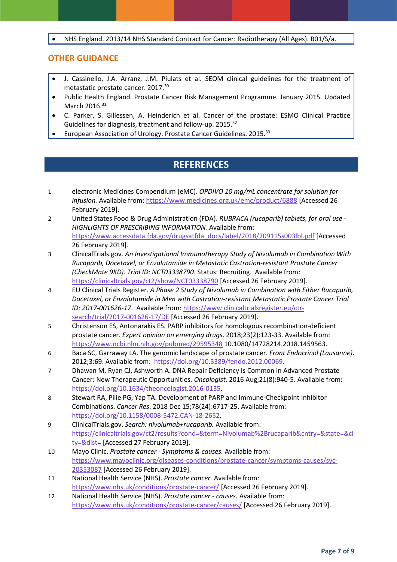NHS England. 2013/14 NHS Standard Contract for Cancer: Radiotherapy (All Ages). B01/S/a.

#### **OTHER GUIDANCE**

- J. Cassinello, J.A. Arranz, J.M. Piulats et al. SEOM clinical guidelines for the treatment of metastatic prostate cancer. 2017.<sup>30</sup>
- Public Health England. Prostate Cancer Risk Management Programme. January 2015. Updated March 2016.<sup>31</sup>
- C. Parker, S. Gillessen, A. Heinderich et al. Cancer of the prostate: ESMO Clinical Practice Guidelines for diagnosis, treatment and follow-up. 2015.<sup>32</sup>
- European Association of Urology. Prostate Cancer Guidelines. 2015.<sup>33</sup>

### **REFERENCES**

- 1 electronic Medicines Compendium (eMC). *OPDIVO 10 mg/mL concentrate for solution for infusion.* Available from:<https://www.medicines.org.uk/emc/product/6888> [Accessed 26 February 2019].
- 2 United States Food & Drug Administration (FDA). *RUBRACA (rucaparib) tablets, for oral use - HIGHLIGHTS OF PRESCRIBING INFORMATION.* Available from: [https://www.accessdata.fda.gov/drugsatfda\\_docs/label/2018/209115s003lbl.pdf](https://www.accessdata.fda.gov/drugsatfda_docs/label/2018/209115s003lbl.pdf) [Accessed 26 February 2019].
- 3 ClinicalTrials.gov. *An Investigational Immunotherapy Study of Nivolumab in Combination With Rucaparib, Docetaxel, or Enzalutamide in Metastatic Castration-resistant Prostate Cancer (CheckMate 9KD)*. *Trial ID: NCT03338790*. Status: Recruiting. Available from: <https://clinicaltrials.gov/ct2/show/NCT03338790> [Accessed 26 February 2019].
- 4 EU Clinical Trials Register. *A Phase 2 Study of Nivolumab in Combination with Either Rucaparib, Docetaxel, or Enzalutamide in Men with Castration-resistant Metastatic Prostate Cancer Trial ID: 2017-001626-17*. Available from[: https://www.clinicaltrialsregister.eu/ctr](https://www.clinicaltrialsregister.eu/ctr-search/trial/2017-001626-17/DE)[search/trial/2017-001626-17/DE](https://www.clinicaltrialsregister.eu/ctr-search/trial/2017-001626-17/DE) [Accessed 26 February 2019].
- 5 Christenson ES, Antonarakis ES. PARP inhibitors for homologous recombination-deficient prostate cancer. *Expert opinion on emerging drugs*. 2018;23(2):123-33. Available from: <https://www.ncbi.nlm.nih.gov/pubmed/29595348> 10.1080/14728214.2018.1459563.
- 6 Baca SC, Garraway LA. The genomic landscape of prostate cancer. *Front Endocrinol (Lausanne)*. 2012;3:69. Available from: [https://doi.org/10.3389/fendo.2012.00069.](https://doi.org/10.3389/fendo.2012.00069)
- 7 Dhawan M, Ryan CJ, Ashworth A. DNA Repair Deficiency Is Common in Advanced Prostate Cancer: New Therapeutic Opportunities. *Oncologist*. 2016 Aug;21(8):940-5. Available from: [https://doi.org/10.1634/theoncologist.2016-0135.](https://doi.org/10.1634/theoncologist.2016-0135)
- 8 Stewart RA, Pilie PG, Yap TA. Development of PARP and Immune-Checkpoint Inhibitor Combinations. *Cancer Res*. 2018 Dec 15;78(24):6717-25. Available from: [https://doi.org/10.1158/0008-5472.CAN-18-2652.](https://doi.org/10.1158/0008-5472.CAN-18-2652)
- 9 ClinicalTrials.gov. *Search: nivolumab+rucaparib.* Available from: [https://clinicaltrials.gov/ct2/results?cond=&term=Nivolumab%2Brucaparib&cntry=&state=&ci](https://clinicaltrials.gov/ct2/results?cond=&term=Nivolumab%2Brucaparib&cntry=&state=&city=&dist) [ty=&dist=](https://clinicaltrials.gov/ct2/results?cond=&term=Nivolumab%2Brucaparib&cntry=&state=&city=&dist) [Accessed 27 February 2019].
- 10 Mayo Clinic. *Prostate cancer - Symptoms & causes.* Available from: [https://www.mayoclinic.org/diseases-conditions/prostate-cancer/symptoms-causes/syc-](https://www.mayoclinic.org/diseases-conditions/prostate-cancer/symptoms-causes/syc-20353087)[20353087](https://www.mayoclinic.org/diseases-conditions/prostate-cancer/symptoms-causes/syc-20353087) [Accessed 26 February 2019].
- 11 National Health Service (NHS). *Prostate cancer.* Available from: <https://www.nhs.uk/conditions/prostate-cancer/> [Accessed 26 February 2019].
- 12 National Health Service (NHS). *Prostate cancer - causes.* Available from: <https://www.nhs.uk/conditions/prostate-cancer/causes/> [Accessed 26 February 2019].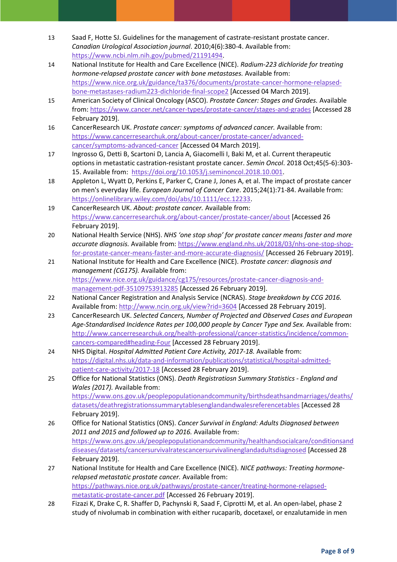- 13 Saad F, Hotte SJ. Guidelines for the management of castrate-resistant prostate cancer. *Canadian Urological Association journal*. 2010;4(6):380-4. Available from: [https://www.ncbi.nlm.nih.gov/pubmed/21191494.](https://www.ncbi.nlm.nih.gov/pubmed/21191494)
- 14 National Institute for Health and Care Excellence (NICE). *Radium-223 dichloride for treating hormone-relapsed prostate cancer with bone metastases.* Available from: [https://www.nice.org.uk/guidance/ta376/documents/prostate-cancer-hormone-relapsed](https://www.nice.org.uk/guidance/ta376/documents/prostate-cancer-hormone-relapsed-bone-metastases-radium223-dichloride-final-scope2)[bone-metastases-radium223-dichloride-final-scope2](https://www.nice.org.uk/guidance/ta376/documents/prostate-cancer-hormone-relapsed-bone-metastases-radium223-dichloride-final-scope2) [Accessed 04 March 2019].
- 15 American Society of Clinical Oncology (ASCO). *Prostate Cancer: Stages and Grades.* Available from:<https://www.cancer.net/cancer-types/prostate-cancer/stages-and-grades> [Accessed 28 February 2019].
- 16 CancerResearch UK. *Prostate cancer: symptoms of advanced cancer.* Available from: [https://www.cancerresearchuk.org/about-cancer/prostate-cancer/advanced](https://www.cancerresearchuk.org/about-cancer/prostate-cancer/advanced-cancer/symptoms-advanced-cancer)[cancer/symptoms-advanced-cancer](https://www.cancerresearchuk.org/about-cancer/prostate-cancer/advanced-cancer/symptoms-advanced-cancer) [Accessed 04 March 2019].
- 17 Ingrosso G, Detti B, Scartoni D, Lancia A, Giacomelli I, Baki M, et al. Current therapeutic options in metastatic castration-resistant prostate cancer. *Semin Oncol*. 2018 Oct;45(5-6):303- 15. Available from: [https://doi.org/10.1053/j.seminoncol.2018.10.001.](https://doi.org/10.1053/j.seminoncol.2018.10.001)
- 18 Appleton L, Wyatt D, Perkins E, Parker C, Crane J, Jones A, et al. The impact of prostate cancer on men's everyday life. *European Journal of Cancer Care*. 2015;24(1):71-84. Available from: [https://onlinelibrary.wiley.com/doi/abs/10.1111/ecc.12233.](https://onlinelibrary.wiley.com/doi/abs/10.1111/ecc.12233)
- 19 CancerResearch UK. *About: prostate cancer.* Available from: <https://www.cancerresearchuk.org/about-cancer/prostate-cancer/about> [Accessed 26 February 2019].
- 20 National Health Service (NHS). *NHS 'one stop shop' for prostate cancer means faster and more accurate diagnosis.* Available from: [https://www.england.nhs.uk/2018/03/nhs-one-stop-shop](https://www.england.nhs.uk/2018/03/nhs-one-stop-shop-for-prostate-cancer-means-faster-and-more-accurate-diagnosis/)[for-prostate-cancer-means-faster-and-more-accurate-diagnosis/](https://www.england.nhs.uk/2018/03/nhs-one-stop-shop-for-prostate-cancer-means-faster-and-more-accurate-diagnosis/) [Accessed 26 February 2019].
- 21 National Institute for Health and Care Excellence (NICE). *Prostate cancer: diagnosis and management (CG175).* Available from: [https://www.nice.org.uk/guidance/cg175/resources/prostate-cancer-diagnosis-and](https://www.nice.org.uk/guidance/cg175/resources/prostate-cancer-diagnosis-and-management-pdf-35109753913285)[management-pdf-35109753913285](https://www.nice.org.uk/guidance/cg175/resources/prostate-cancer-diagnosis-and-management-pdf-35109753913285) [Accessed 26 February 2019].
- 22 National Cancer Registration and Analysis Service (NCRAS). *Stage breakdown by CCG 2016.* Available from[: http://www.ncin.org.uk/view?rid=3604](http://www.ncin.org.uk/view?rid=3604) [Accessed 28 February 2019].
- 23 CancerResearch UK. *Selected Cancers, Number of Projected and Observed Cases and European Age-Standardised Incidence Rates per 100,000 people by Cancer Type and Sex.* Available from: [http://www.cancerresearchuk.org/health-professional/cancer-statistics/incidence/common](http://www.cancerresearchuk.org/health-professional/cancer-statistics/incidence/common-cancers-compared#heading-Four)[cancers-compared#heading-Four](http://www.cancerresearchuk.org/health-professional/cancer-statistics/incidence/common-cancers-compared#heading-Four) [Accessed 28 February 2019].
- 24 NHS Digital. *Hospital Admitted Patient Care Activity, 2017-18.* Available from: [https://digital.nhs.uk/data-and-information/publications/statistical/hospital-admitted](https://digital.nhs.uk/data-and-information/publications/statistical/hospital-admitted-patient-care-activity/2017-18)[patient-care-activity/2017-18](https://digital.nhs.uk/data-and-information/publications/statistical/hospital-admitted-patient-care-activity/2017-18) [Accessed 28 February 2019].
- 25 Office for National Statistics (ONS). *Death Registratiosn Summary Statistics - England and Wales (2017).* Available from: [https://www.ons.gov.uk/peoplepopulationandcommunity/birthsdeathsandmarriages/deaths/](https://www.ons.gov.uk/peoplepopulationandcommunity/birthsdeathsandmarriages/deaths/datasets/deathregistrationssummarytablesenglandandwalesreferencetables) [datasets/deathregistrationssummarytablesenglandandwalesreferencetables](https://www.ons.gov.uk/peoplepopulationandcommunity/birthsdeathsandmarriages/deaths/datasets/deathregistrationssummarytablesenglandandwalesreferencetables) [Accessed 28 February 2019].
- 26 Office for National Statistics (ONS). *Cancer Survival in England: Adults Diagnosed between 2011 and 2015 and followed up to 2016.* Available from: [https://www.ons.gov.uk/peoplepopulationandcommunity/healthandsocialcare/conditionsand](https://www.ons.gov.uk/peoplepopulationandcommunity/healthandsocialcare/conditionsanddiseases/datasets/cancersurvivalratescancersurvivalinenglandadultsdiagnosed) [diseases/datasets/cancersurvivalratescancersurvivalinenglandadultsdiagnosed](https://www.ons.gov.uk/peoplepopulationandcommunity/healthandsocialcare/conditionsanddiseases/datasets/cancersurvivalratescancersurvivalinenglandadultsdiagnosed) [Accessed 28 February 2019].
- 27 National Institute for Health and Care Excellence (NICE). *NICE pathways: Treating hormonerelapsed metastatic prostate cancer.* Available from: [https://pathways.nice.org.uk/pathways/prostate-cancer/treating-hormone-relapsed](https://pathways.nice.org.uk/pathways/prostate-cancer/treating-hormone-relapsed-metastatic-prostate-cancer.pdf)[metastatic-prostate-cancer.pdf](https://pathways.nice.org.uk/pathways/prostate-cancer/treating-hormone-relapsed-metastatic-prostate-cancer.pdf) [Accessed 26 February 2019].
- 28 Fizazi K, Drake C, R. Shaffer D, Pachynski R, Saad F, Ciprotti M, et al. An open-label, phase 2 study of nivolumab in combination with either rucaparib, docetaxel, or enzalutamide in men